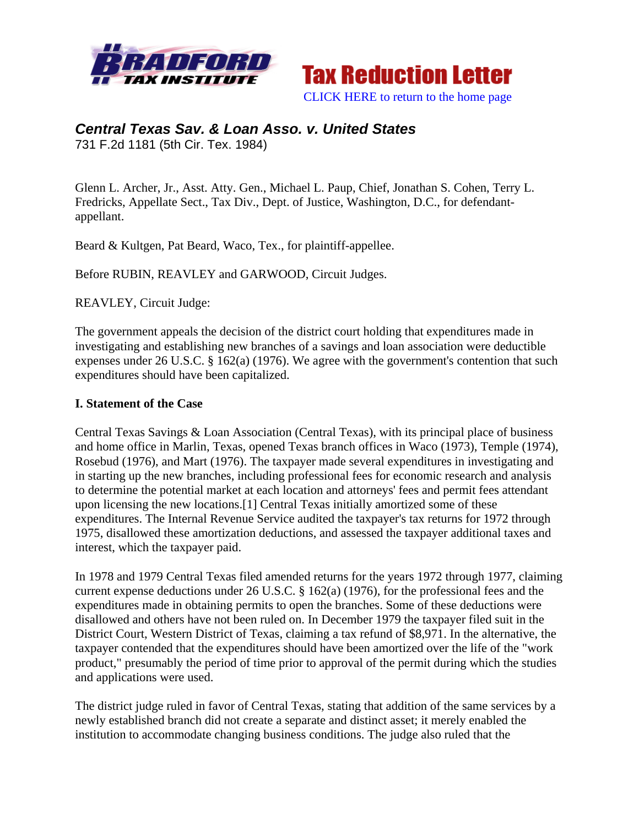



# *Central Texas Sav. & Loan Asso. v. United States*

731 F.2d 1181 (5th Cir. Tex. 1984)

Glenn L. Archer, Jr., Asst. Atty. Gen., Michael L. Paup, Chief, Jonathan S. Cohen, Terry L. Fredricks, Appellate Sect., Tax Div., Dept. of Justice, Washington, D.C., for defendantappellant.

Beard & Kultgen, Pat Beard, Waco, Tex., for plaintiff-appellee.

Before RUBIN, REAVLEY and GARWOOD, Circuit Judges.

REAVLEY, Circuit Judge:

The government appeals the decision of the district court holding that expenditures made in investigating and establishing new branches of a savings and loan association were deductible expenses under 26 U.S.C. § 162(a) (1976). We agree with the government's contention that such expenditures should have been capitalized.

### **I. Statement of the Case**

Central Texas Savings & Loan Association (Central Texas), with its principal place of business and home office in Marlin, Texas, opened Texas branch offices in Waco (1973), Temple (1974), Rosebud (1976), and Mart (1976). The taxpayer made several expenditures in investigating and in starting up the new branches, including professional fees for economic research and analysis to determine the potential market at each location and attorneys' fees and permit fees attendant upon licensing the new locations.[1] Central Texas initially amortized some of these expenditures. The Internal Revenue Service audited the taxpayer's tax returns for 1972 through 1975, disallowed these amortization deductions, and assessed the taxpayer additional taxes and interest, which the taxpayer paid.

In 1978 and 1979 Central Texas filed amended returns for the years 1972 through 1977, claiming current expense deductions under 26 U.S.C. § 162(a) (1976), for the professional fees and the expenditures made in obtaining permits to open the branches. Some of these deductions were disallowed and others have not been ruled on. In December 1979 the taxpayer filed suit in the District Court, Western District of Texas, claiming a tax refund of \$8,971. In the alternative, the taxpayer contended that the expenditures should have been amortized over the life of the "work product," presumably the period of time prior to approval of the permit during which the studies and applications were used.

The district judge ruled in favor of Central Texas, stating that addition of the same services by a newly established branch did not create a separate and distinct asset; it merely enabled the institution to accommodate changing business conditions. The judge also ruled that the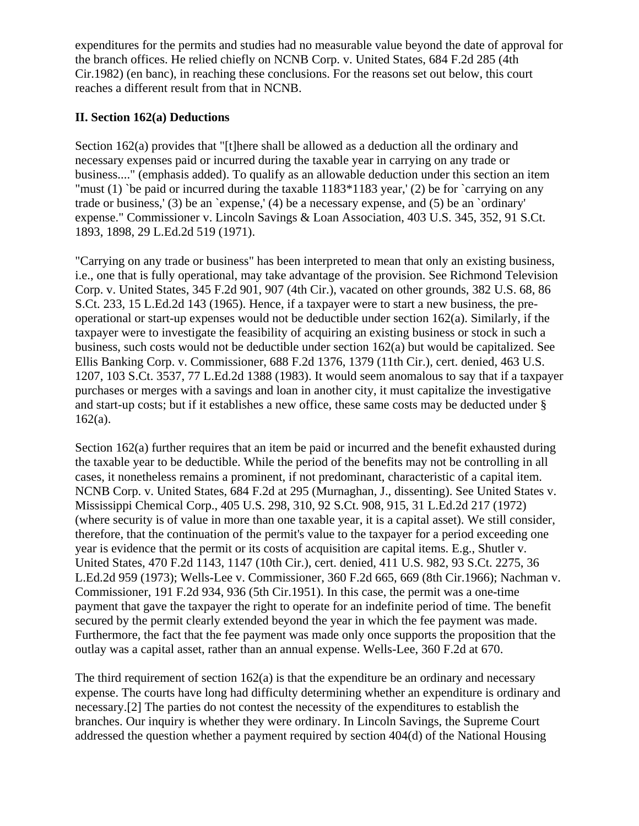expenditures for the permits and studies had no measurable value beyond the date of approval for the branch offices. He relied chiefly on NCNB Corp. v. United States, 684 F.2d 285 (4th Cir.1982) (en banc), in reaching these conclusions. For the reasons set out below, this court reaches a different result from that in NCNB.

## **II. Section 162(a) Deductions**

Section 162(a) provides that "[t]here shall be allowed as a deduction all the ordinary and necessary expenses paid or incurred during the taxable year in carrying on any trade or business...." (emphasis added). To qualify as an allowable deduction under this section an item "must  $(1)$  'be paid or incurred during the taxable 1183\*1183 year,'  $(2)$  be for 'carrying on any trade or business,' (3) be an `expense,' (4) be a necessary expense, and (5) be an `ordinary' expense." Commissioner v. Lincoln Savings & Loan Association, 403 U.S. 345, 352, 91 S.Ct. 1893, 1898, 29 L.Ed.2d 519 (1971).

"Carrying on any trade or business" has been interpreted to mean that only an existing business, i.e., one that is fully operational, may take advantage of the provision. See Richmond Television Corp. v. United States, 345 F.2d 901, 907 (4th Cir.), vacated on other grounds, 382 U.S. 68, 86 S.Ct. 233, 15 L.Ed.2d 143 (1965). Hence, if a taxpayer were to start a new business, the preoperational or start-up expenses would not be deductible under section 162(a). Similarly, if the taxpayer were to investigate the feasibility of acquiring an existing business or stock in such a business, such costs would not be deductible under section 162(a) but would be capitalized. See Ellis Banking Corp. v. Commissioner, 688 F.2d 1376, 1379 (11th Cir.), cert. denied, 463 U.S. 1207, 103 S.Ct. 3537, 77 L.Ed.2d 1388 (1983). It would seem anomalous to say that if a taxpayer purchases or merges with a savings and loan in another city, it must capitalize the investigative and start-up costs; but if it establishes a new office, these same costs may be deducted under §  $162(a)$ .

Section 162(a) further requires that an item be paid or incurred and the benefit exhausted during the taxable year to be deductible. While the period of the benefits may not be controlling in all cases, it nonetheless remains a prominent, if not predominant, characteristic of a capital item. NCNB Corp. v. United States, 684 F.2d at 295 (Murnaghan, J., dissenting). See United States v. Mississippi Chemical Corp., 405 U.S. 298, 310, 92 S.Ct. 908, 915, 31 L.Ed.2d 217 (1972) (where security is of value in more than one taxable year, it is a capital asset). We still consider, therefore, that the continuation of the permit's value to the taxpayer for a period exceeding one year is evidence that the permit or its costs of acquisition are capital items. E.g., Shutler v. United States, 470 F.2d 1143, 1147 (10th Cir.), cert. denied, 411 U.S. 982, 93 S.Ct. 2275, 36 L.Ed.2d 959 (1973); Wells-Lee v. Commissioner, 360 F.2d 665, 669 (8th Cir.1966); Nachman v. Commissioner, 191 F.2d 934, 936 (5th Cir.1951). In this case, the permit was a one-time payment that gave the taxpayer the right to operate for an indefinite period of time. The benefit secured by the permit clearly extended beyond the year in which the fee payment was made. Furthermore, the fact that the fee payment was made only once supports the proposition that the outlay was a capital asset, rather than an annual expense. Wells-Lee, 360 F.2d at 670.

The third requirement of section  $162(a)$  is that the expenditure be an ordinary and necessary expense. The courts have long had difficulty determining whether an expenditure is ordinary and necessary.[2] The parties do not contest the necessity of the expenditures to establish the branches. Our inquiry is whether they were ordinary. In Lincoln Savings, the Supreme Court addressed the question whether a payment required by section 404(d) of the National Housing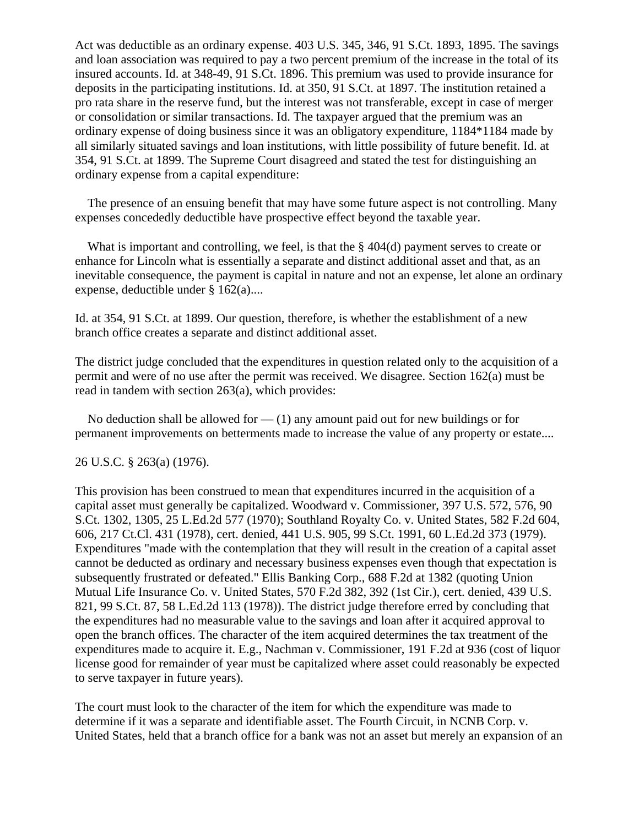Act was deductible as an ordinary expense. 403 U.S. 345, 346, 91 S.Ct. 1893, 1895. The savings and loan association was required to pay a two percent premium of the increase in the total of its insured accounts. Id. at 348-49, 91 S.Ct. 1896. This premium was used to provide insurance for deposits in the participating institutions. Id. at 350, 91 S.Ct. at 1897. The institution retained a pro rata share in the reserve fund, but the interest was not transferable, except in case of merger or consolidation or similar transactions. Id. The taxpayer argued that the premium was an ordinary expense of doing business since it was an obligatory expenditure, 1184\*1184 made by all similarly situated savings and loan institutions, with little possibility of future benefit. Id. at 354, 91 S.Ct. at 1899. The Supreme Court disagreed and stated the test for distinguishing an ordinary expense from a capital expenditure:

 The presence of an ensuing benefit that may have some future aspect is not controlling. Many expenses concededly deductible have prospective effect beyond the taxable year.

What is important and controlling, we feel, is that the § 404(d) payment serves to create or enhance for Lincoln what is essentially a separate and distinct additional asset and that, as an inevitable consequence, the payment is capital in nature and not an expense, let alone an ordinary expense, deductible under § 162(a)....

Id. at 354, 91 S.Ct. at 1899. Our question, therefore, is whether the establishment of a new branch office creates a separate and distinct additional asset.

The district judge concluded that the expenditures in question related only to the acquisition of a permit and were of no use after the permit was received. We disagree. Section 162(a) must be read in tandem with section 263(a), which provides:

No deduction shall be allowed for  $-$  (1) any amount paid out for new buildings or for permanent improvements on betterments made to increase the value of any property or estate....

#### 26 U.S.C. § 263(a) (1976).

This provision has been construed to mean that expenditures incurred in the acquisition of a capital asset must generally be capitalized. Woodward v. Commissioner, 397 U.S. 572, 576, 90 S.Ct. 1302, 1305, 25 L.Ed.2d 577 (1970); Southland Royalty Co. v. United States, 582 F.2d 604, 606, 217 Ct.Cl. 431 (1978), cert. denied, 441 U.S. 905, 99 S.Ct. 1991, 60 L.Ed.2d 373 (1979). Expenditures "made with the contemplation that they will result in the creation of a capital asset cannot be deducted as ordinary and necessary business expenses even though that expectation is subsequently frustrated or defeated." Ellis Banking Corp., 688 F.2d at 1382 (quoting Union Mutual Life Insurance Co. v. United States, 570 F.2d 382, 392 (1st Cir.), cert. denied, 439 U.S. 821, 99 S.Ct. 87, 58 L.Ed.2d 113 (1978)). The district judge therefore erred by concluding that the expenditures had no measurable value to the savings and loan after it acquired approval to open the branch offices. The character of the item acquired determines the tax treatment of the expenditures made to acquire it. E.g., Nachman v. Commissioner, 191 F.2d at 936 (cost of liquor license good for remainder of year must be capitalized where asset could reasonably be expected to serve taxpayer in future years).

The court must look to the character of the item for which the expenditure was made to determine if it was a separate and identifiable asset. The Fourth Circuit, in NCNB Corp. v. United States, held that a branch office for a bank was not an asset but merely an expansion of an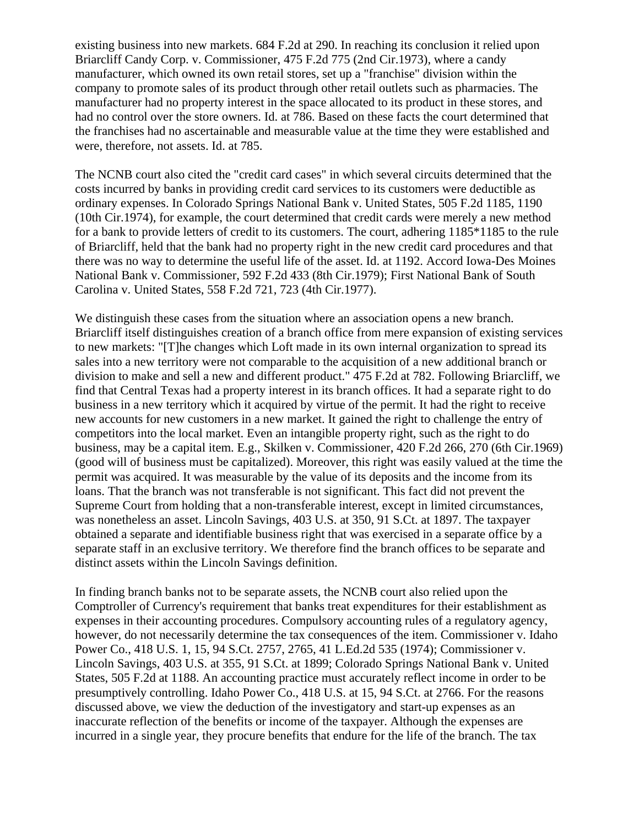existing business into new markets. 684 F.2d at 290. In reaching its conclusion it relied upon Briarcliff Candy Corp. v. Commissioner, 475 F.2d 775 (2nd Cir.1973), where a candy manufacturer, which owned its own retail stores, set up a "franchise" division within the company to promote sales of its product through other retail outlets such as pharmacies. The manufacturer had no property interest in the space allocated to its product in these stores, and had no control over the store owners. Id. at 786. Based on these facts the court determined that the franchises had no ascertainable and measurable value at the time they were established and were, therefore, not assets. Id. at 785.

The NCNB court also cited the "credit card cases" in which several circuits determined that the costs incurred by banks in providing credit card services to its customers were deductible as ordinary expenses. In Colorado Springs National Bank v. United States, 505 F.2d 1185, 1190 (10th Cir.1974), for example, the court determined that credit cards were merely a new method for a bank to provide letters of credit to its customers. The court, adhering 1185\*1185 to the rule of Briarcliff, held that the bank had no property right in the new credit card procedures and that there was no way to determine the useful life of the asset. Id. at 1192. Accord Iowa-Des Moines National Bank v. Commissioner, 592 F.2d 433 (8th Cir.1979); First National Bank of South Carolina v. United States, 558 F.2d 721, 723 (4th Cir.1977).

We distinguish these cases from the situation where an association opens a new branch. Briarcliff itself distinguishes creation of a branch office from mere expansion of existing services to new markets: "[T]he changes which Loft made in its own internal organization to spread its sales into a new territory were not comparable to the acquisition of a new additional branch or division to make and sell a new and different product." 475 F.2d at 782. Following Briarcliff, we find that Central Texas had a property interest in its branch offices. It had a separate right to do business in a new territory which it acquired by virtue of the permit. It had the right to receive new accounts for new customers in a new market. It gained the right to challenge the entry of competitors into the local market. Even an intangible property right, such as the right to do business, may be a capital item. E.g., Skilken v. Commissioner, 420 F.2d 266, 270 (6th Cir.1969) (good will of business must be capitalized). Moreover, this right was easily valued at the time the permit was acquired. It was measurable by the value of its deposits and the income from its loans. That the branch was not transferable is not significant. This fact did not prevent the Supreme Court from holding that a non-transferable interest, except in limited circumstances, was nonetheless an asset. Lincoln Savings, 403 U.S. at 350, 91 S.Ct. at 1897. The taxpayer obtained a separate and identifiable business right that was exercised in a separate office by a separate staff in an exclusive territory. We therefore find the branch offices to be separate and distinct assets within the Lincoln Savings definition.

In finding branch banks not to be separate assets, the NCNB court also relied upon the Comptroller of Currency's requirement that banks treat expenditures for their establishment as expenses in their accounting procedures. Compulsory accounting rules of a regulatory agency, however, do not necessarily determine the tax consequences of the item. Commissioner v. Idaho Power Co., 418 U.S. 1, 15, 94 S.Ct. 2757, 2765, 41 L.Ed.2d 535 (1974); Commissioner v. Lincoln Savings, 403 U.S. at 355, 91 S.Ct. at 1899; Colorado Springs National Bank v. United States, 505 F.2d at 1188. An accounting practice must accurately reflect income in order to be presumptively controlling. Idaho Power Co., 418 U.S. at 15, 94 S.Ct. at 2766. For the reasons discussed above, we view the deduction of the investigatory and start-up expenses as an inaccurate reflection of the benefits or income of the taxpayer. Although the expenses are incurred in a single year, they procure benefits that endure for the life of the branch. The tax